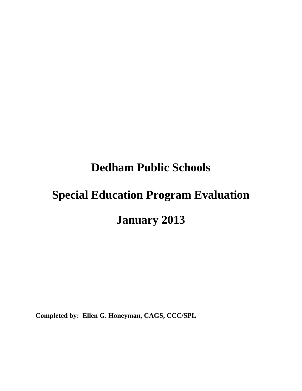# **Dedham Public Schools**

# **Special Education Program Evaluation January 2013**

**Completed by: Ellen G. Honeyman, CAGS, CCC/SPL**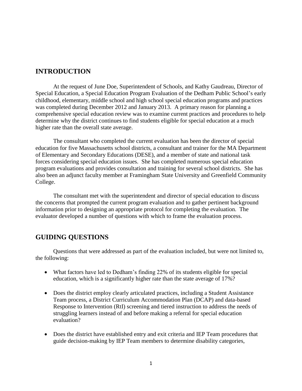# **INTRODUCTION**

At the request of June Doe, Superintendent of Schools, and Kathy Gaudreau, Director of Special Education, a Special Education Program Evaluation of the Dedham Public School's early childhood, elementary, middle school and high school special education programs and practices was completed during December 2012 and January 2013. A primary reason for planning a comprehensive special education review was to examine current practices and procedures to help determine why the district continues to find students eligible for special education at a much higher rate than the overall state average.

The consultant who completed the current evaluation has been the director of special education for five Massachusetts school districts, a consultant and trainer for the MA Department of Elementary and Secondary Educations (DESE), and a member of state and national task forces considering special education issues. She has completed numerous special education program evaluations and provides consultation and training for several school districts. She has also been an adjunct faculty member at Framingham State University and Greenfield Community College.

The consultant met with the superintendent and director of special education to discuss the concerns that prompted the current program evaluation and to gather pertinent background information prior to designing an appropriate protocol for completing the evaluation. The evaluator developed a number of questions with which to frame the evaluation process.

# **GUIDING QUESTIONS**

Questions that were addressed as part of the evaluation included, but were not limited to, the following:

- What factors have led to Dedham's finding 22% of its students eligible for special education, which is a significantly higher rate than the state average of 17%?
- Does the district employ clearly articulated practices, including a Student Assistance Team process, a District Curriculum Accommodation Plan (DCAP) and data-based Response to Intervention (RtI) screening and tiered instruction to address the needs of struggling learners instead of and before making a referral for special education evaluation?
- Does the district have established entry and exit criteria and IEP Team procedures that guide decision-making by IEP Team members to determine disability categories,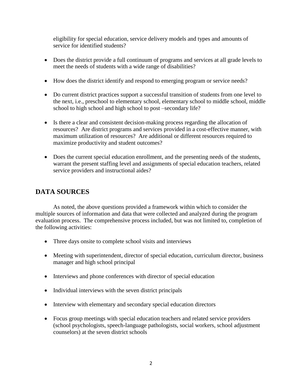eligibility for special education, service delivery models and types and amounts of service for identified students?

- Does the district provide a full continuum of programs and services at all grade levels to meet the needs of students with a wide range of disabilities?
- How does the district identify and respond to emerging program or service needs?
- Do current district practices support a successful transition of students from one level to the next, i.e., preschool to elementary school, elementary school to middle school, middle school to high school and high school to post –secondary life?
- Is there a clear and consistent decision-making process regarding the allocation of resources? Are district programs and services provided in a cost-effective manner, with maximum utilization of resources? Are additional or different resources required to maximize productivity and student outcomes?
- Does the current special education enrollment, and the presenting needs of the students, warrant the present staffing level and assignments of special education teachers, related service providers and instructional aides?

# **DATA SOURCES**

As noted, the above questions provided a framework within which to consider the multiple sources of information and data that were collected and analyzed during the program evaluation process. The comprehensive process included, but was not limited to, completion of the following activities:

- Three days onsite to complete school visits and interviews
- Meeting with superintendent, director of special education, curriculum director, business manager and high school principal
- Interviews and phone conferences with director of special education
- Individual interviews with the seven district principals
- Interview with elementary and secondary special education directors
- Focus group meetings with special education teachers and related service providers (school psychologists, speech-language pathologists, social workers, school adjustment counselors) at the seven district schools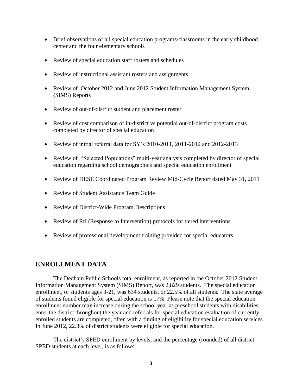- Brief observations of all special education programs/classrooms in the early childhood center and the four elementary schools
- Review of special education staff rosters and schedules
- Review of instructional assistant rosters and assignments
- Review of October 2012 and June 2012 Student Information Management System (SIMS) Reports
- Review of out-of-district student and placement roster
- Review of cost comparison of in-district vs potential out-of-district program costs completed by director of special education
- Review of initial referral data for SY's 2010-2011, 2011-2012 and 2012-2013
- Review of "Selected Populations" multi-year analysis completed by director of special education regarding school demographics and special education enrollment
- Review of DESE Coordinated Program Review Mid-Cycle Report dated May 31, 2011
- Review of Student Assistance Team Guide
- Review of District-Wide Program Descriptions
- Review of RtI (Response to Intervention) protocols for tiered interventions
- Review of professional development training provided for special educators

# **ENROLLMENT DATA**

The Dedham Public Schools total enrollment, as reported in the October 2012 Student Information Management System (SIMS) Report, was 2,829 students. The special education enrollment, of students ages 3-21, was 634 students, or 22.5% of all students. The state average of students found eligible for special education is 17%. Please note that the special education enrollment number may increase during the school year as preschool students with disabilities enter the district throughout the year and referrals for special education evaluation of currently enrolled students are completed, often with a finding of eligibility for special education services. In June 2012, 22.3% of district students were eligible for special education.

The district's SPED enrollment by levels, and the percentage (rounded) of all district SPED students at each level, is as follows: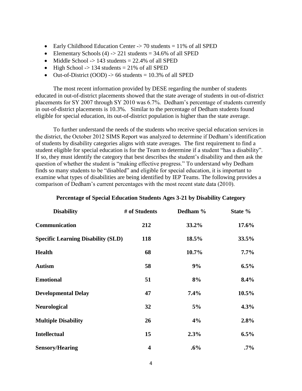- Early Childhood Education Center  $\rightarrow$  70 students = 11% of all SPED
- Elementary Schools (4)  $\rightarrow$  221 students = 34.6% of all SPED
- $\bullet$  Middle School -> 143 students = 22.4% of all SPED
- $\bullet$  High School -> 134 students = 21% of all SPED
- $\bullet$  Out-of-District (OOD) -> 66 students = 10.3% of all SPED

The most recent information provided by DESE regarding the number of students educated in out-of-district placements showed that the state average of students in out-of-district placements for SY 2007 through SY 2010 was 6.7%. Dedham's percentage of students currently in out-of-district placements is 10.3%. Similar to the percentage of Dedham students found eligible for special education, its out-of-district population is higher than the state average.

To further understand the needs of the students who receive special education services in the district, the October 2012 SIMS Report was analyzed to determine if Dedham's identification of students by disability categories aligns with state averages. The first requirement to find a student eligible for special education is for the Team to determine if a student "has a disability". If so, they must identify the category that best describes the student's disability and then ask the question of whether the student is "making effective progress." To understand why Dedham finds so many students to be "disabled" and eligible for special education, it is important to examine what types of disabilities are being identified by IEP Teams. The following provides a comparison of Dedham's current percentages with the most recent state data (2010).

| <b>Disability</b>                         | # of Students           | Dedham % | State % |
|-------------------------------------------|-------------------------|----------|---------|
| Communication                             | 212                     | 33.2%    | 17.6%   |
| <b>Specific Learning Disability (SLD)</b> | 118                     | 18.5%    | 33.5%   |
| <b>Health</b>                             | 68                      | 10.7%    | $7.7\%$ |
| <b>Autism</b>                             | 58                      | 9%       | $6.5\%$ |
| <b>Emotional</b>                          | 51                      | 8%       | 8.4%    |
| <b>Developmental Delay</b>                | 47                      | 7.4%     | 10.5%   |
| <b>Neurological</b>                       | 32                      | 5%       | 4.3%    |
| <b>Multiple Disability</b>                | 26                      | 4%       | 2.8%    |
| <b>Intellectual</b>                       | 15                      | 2.3%     | $6.5\%$ |
| <b>Sensory/Hearing</b>                    | $\overline{\mathbf{4}}$ | $.6\%$   | $.7\%$  |

#### **Percentage of Special Education Students Ages 3-21 by Disability Category**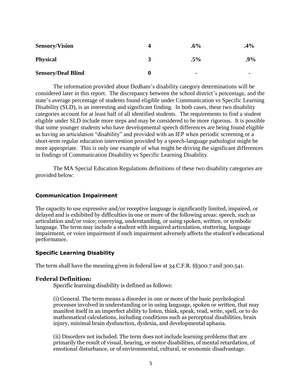| <b>Sensory/Vision</b>     | 4 | $.6\%$                   | $.4\%$         |
|---------------------------|---|--------------------------|----------------|
| <b>Physical</b>           |   | $.5\%$                   | .9%            |
| <b>Sensory/Deaf Blind</b> |   | $\overline{\phantom{a}}$ | $\blacksquare$ |

The information provided about Dedham's disability category determinations will be considered later in this report. The discrepancy between the school district's percentage, and the state's average percentage of students found eligible under Communication vs Specific Learning Disability (SLD), is an interesting and significant finding. In both cases, these two disability categories account for at least half of all identified students. The requirements to find a student eligible under SLD include more steps and may be considered to be more rigorous. It is possible that some younger students who have developmental speech differences are being found eligible as having an articulation "disability" and provided with an IEP when periodic screening or a short-term regular education intervention provided by a speech-language pathologist might be more appropriate. This is only one example of what might be driving the significant differences in findings of Communication Disability vs Specific Learning Disability.

The MA Special Education Regulations definitions of these two disability categories are provided below:

#### **Communication Impairment**

The capacity to use expressive and/or receptive language is significantly limited, impaired, or delayed and is exhibited by difficulties in one or more of the following areas: speech, such as articulation and/or voice; conveying, understanding, or using spoken, written, or symbolic language. The term may include a student with impaired articulation, stuttering, language impairment, or voice impairment if such impairment adversely affects the student's educational performance.

#### **Specific Learning Disability**

The term shall have the meaning given in federal law at 34 C.F.R. §§300.7 and 300.541.

#### **Federal Definition:**

Specific learning disability is defined as follows:

(i) General. The term means a disorder in one or more of the basic psychological processes involved in understanding or in using language, spoken or written, that may manifest itself in an imperfect ability to listen, think, speak, read, write, spell, or to do mathematical calculations, including conditions such as perceptual disabilities, brain injury, minimal brain dysfunction, dyslexia, and developmental aphasia.

(ii) Disorders not included. The term does not include learning problems that are primarily the result of visual, hearing, or motor disabilities, of mental retardation, of emotional disturbance, or of environmental, cultural, or economic disadvantage.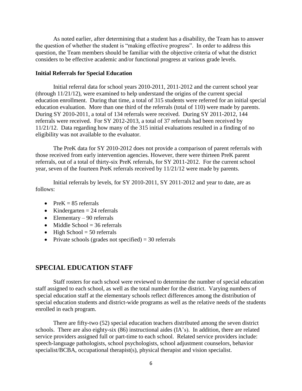As noted earlier, after determining that a student has a disability, the Team has to answer the question of whether the student is "making effective progress". In order to address this question, the Team members should be familiar with the objective criteria of what the district considers to be effective academic and/or functional progress at various grade levels.

#### **Initial Referrals for Special Education**

Initial referral data for school years 2010-2011, 2011-2012 and the current school year (through 11/21/12), were examined to help understand the origins of the current special education enrollment. During that time, a total of 315 students were referred for an initial special education evaluation. More than one third of the referrals (total of 110) were made by parents. During SY 2010-2011, a total of 134 referrals were received. During SY 2011-2012, 144 referrals were received. For SY 2012-2013, a total of 37 referrals had been received by 11/21/12. Data regarding how many of the 315 initial evaluations resulted in a finding of no eligibility was not available to the evaluator.

The PreK data for SY 2010-2012 does not provide a comparison of parent referrals with those received from early intervention agencies. However, there were thirteen PreK parent referrals, out of a total of thirty-six PreK referrals, for SY 2011-2012. For the current school year, seven of the fourteen PreK referrals received by 11/21/12 were made by parents.

Initial referrals by levels, for SY 2010-2011, SY 2011-2012 and year to date, are as follows:

- PreK  $= 85$  referrals
- Kindergarten  $= 24$  referrals
- $\bullet$  Elementary 90 referrals
- $\bullet$  Middle School = 36 referrals
- $\bullet$  High School = 50 referrals
- Private schools (grades not specified)  $=$  30 referrals

#### **SPECIAL EDUCATION STAFF**

Staff rosters for each school were reviewed to determine the number of special education staff assigned to each school, as well as the total number for the district. Varying numbers of special education staff at the elementary schools reflect differences among the distribution of special education students and district-wide programs as well as the relative needs of the students enrolled in each program.

There are fifty-two (52) special education teachers distributed among the seven district schools. There are also eighty-six (86) instructional aides (IA's). In addition, there are related service providers assigned full or part-time to each school. Related service providers include: speech-language pathologists, school psychologists, school adjustment counselors, behavior specialist/BCBA, occupational therapist(s), physical therapist and vision specialist.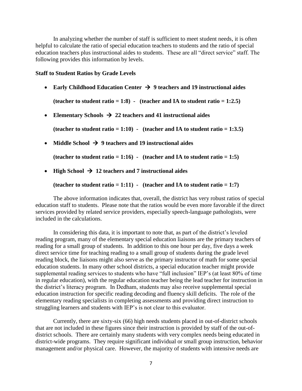In analyzing whether the number of staff is sufficient to meet student needs, it is often helpful to calculate the ratio of special education teachers to students and the ratio of special education teachers plus instructional aides to students. These are all "direct service" staff. The following provides this information by levels.

#### **Staff to Student Ratios by Grade Levels**

**Early Childhood Education Center**  $\rightarrow$  **9 teachers and 19 instructional aides** 

(teacher to student ratio  $= 1:8$ ) - (teacher and IA to student ratio  $= 1:2.5$ )

• Elementary Schools  $\rightarrow$  22 teachers and 41 instructional aides

**(teacher to student ratio = 1:10) - (teacher and IA to student ratio = 1:3.5)**

• Middle School  $\rightarrow$  9 teachers and 19 instructional aides

**(teacher to student ratio = 1:16) - (teacher and IA to student ratio = 1:5)** 

• High School  $\rightarrow$  12 teachers and 7 instructional aides

(teacher to student ratio =  $1:11$ ) - (teacher and IA to student ratio =  $1:7$ )

The above information indicates that, overall, the district has very robust ratios of special education staff to students. Please note that the ratios would be even more favorable if the direct services provided by related service providers, especially speech-language pathologists, were included in the calculations.

In considering this data, it is important to note that, as part of the district's leveled reading program, many of the elementary special education liaisons are the primary teachers of reading for a small group of students. In addition to this one hour per day, five days a week direct service time for teaching reading to a small group of students during the grade level reading block, the liaisons might also serve as the primary instructor of math for some special education students. In many other school districts, a special education teacher might provide supplemental reading services to students who have "full inclusion" IEP's (at least 80% of time in regular education), with the regular education teacher being the lead teacher for instruction in the district's literacy program. In Dedham, students may also receive supplemental special education instruction for specific reading decoding and fluency skill deficits. The role of the elementary reading specialists in completing assessments and providing direct instruction to struggling learners and students with IEP's is not clear to this evaluator.

Currently, there are sixty-six (66) high needs students placed in out-of-district schools that are not included in these figures since their instruction is provided by staff of the out-ofdistrict schools. There are certainly many students with very complex needs being educated in district-wide programs. They require significant individual or small group instruction, behavior management and/or physical care. However, the majority of students with intensive needs are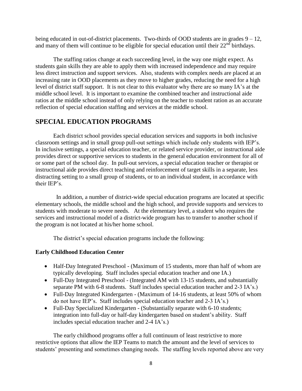being educated in out-of-district placements. Two-thirds of OOD students are in grades  $9 - 12$ , and many of them will continue to be eligible for special education until their  $22<sup>nd</sup>$  birthdays.

The staffing ratios change at each succeeding level, in the way one might expect. As students gain skills they are able to apply them with increased independence and may require less direct instruction and support services. Also, students with complex needs are placed at an increasing rate in OOD placements as they move to higher grades, reducing the need for a high level of district staff support. It is not clear to this evaluator why there are so many IA's at the middle school level. It is important to examine the combined teacher and instructional aide ratios at the middle school instead of only relying on the teacher to student ration as an accurate reflection of special education staffing and services at the middle school.

# **SPECIAL EDUCATION PROGRAMS**

Each district school provides special education services and supports in both inclusive classroom settings and in small group pull-out settings which include only students with IEP's. In inclusive settings, a special education teacher, or related service provider, or instructional aide provides direct or supportive services to students in the general education environment for all of or some part of the school day. In pull-out services, a special education teacher or therapist or instructional aide provides direct teaching and reinforcement of target skills in a separate, less distracting setting to a small group of students, or to an individual student, in accordance with their IEP's.

 In addition, a number of district-wide special education programs are located at specific elementary schools, the middle school and the high school, and provide supports and services to students with moderate to severe needs. At the elementary level, a student who requires the services and instructional model of a district-wide program has to transfer to another school if the program is not located at his/her home school.

The district's special education programs include the following:

#### **Early Childhood Education Center**

- Half-Day Integrated Preschool (Maximum of 15 students, more than half of whom are typically developing. Staff includes special education teacher and one IA.)
- Full-Day Integrated Preschool (Integrated AM with 13-15 students, and substantially separate PM with 6-8 students. Staff includes special education teacher and 2-3 IA's.)
- Full-Day Integrated Kindergarten (Maximum of 14-16 students, at least 50% of whom do not have IEP's. Staff includes special education teacher and 2-3 IA's.)
- Full-Day Specialized Kindergarten (Substantially separate with 6-10 students; integration into full-day or half-day kindergarten based on student's ability. Staff includes special education teacher and 2-4 IA's.)

The early childhood programs offer a full continuum of least restrictive to more restrictive options that allow the IEP Teams to match the amount and the level of services to students' presenting and sometimes changing needs. The staffing levels reported above are very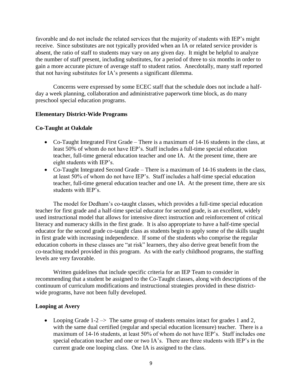favorable and do not include the related services that the majority of students with IEP's might receive. Since substitutes are not typically provided when an IA or related service provider is absent, the ratio of staff to students may vary on any given day. It might be helpful to analyze the number of staff present, including substitutes, for a period of three to six months in order to gain a more accurate picture of average staff to student ratios. Anecdotally, many staff reported that not having substitutes for IA's presents a significant dilemma.

Concerns were expressed by some ECEC staff that the schedule does not include a halfday a week planning, collaboration and administrative paperwork time block, as do many preschool special education programs.

#### **Elementary District-Wide Programs**

#### **Co-Taught at Oakdale**

- Co-Taught Integrated First Grade There is a maximum of 14-16 students in the class, at least 50% of whom do not have IEP's. Staff includes a full-time special education teacher, full-time general education teacher and one IA. At the present time, there are eight students with IEP's.
- Co-Taught Integrated Second Grade There is a maximum of 14-16 students in the class, at least 50% of whom do not have IEP's. Staff includes a half-time special education teacher, full-time general education teacher and one IA. At the present time, there are six students with IEP's.

The model for Dedham's co-taught classes, which provides a full-time special education teacher for first grade and a half-time special educator for second grade, is an excellent, widely used instructional model that allows for intensive direct instruction and reinforcement of critical literacy and numeracy skills in the first grade. It is also appropriate to have a half-time special educator for the second grade co-taught class as students begin to apply some of the skills taught in first grade with increasing independence. If some of the students who comprise the regular education cohorts in these classes are "at risk" learners, they also derive great benefit from the co-teaching model provided in this program. As with the early childhood programs, the staffing levels are very favorable.

Written guidelines that include specific criteria for an IEP Team to consider in recommending that a student be assigned to the Co-Taught classes, along with descriptions of the continuum of curriculum modifications and instructional strategies provided in these districtwide programs, have not been fully developed.

#### **Looping at Avery**

• Looping Grade  $1-2 \rightarrow \infty$  The same group of students remains intact for grades 1 and 2, with the same dual certified (regular and special education licensure) teacher. There is a maximum of 14-16 students, at least 50% of whom do not have IEP's. Staff includes one special education teacher and one or two IA's. There are three students with IEP's in the current grade one looping class. One IA is assigned to the class.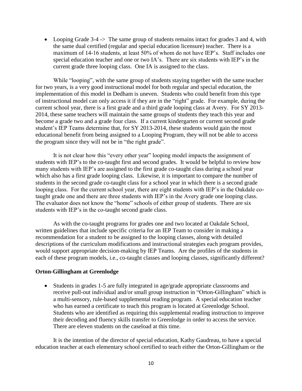• Looping Grade 3-4 -> The same group of students remains intact for grades 3 and 4, with the same dual certified (regular and special education licensure) teacher. There is a maximum of 14-16 students, at least 50% of whom do not have IEP's. Staff includes one special education teacher and one or two IA's. There are six students with IEP's in the current grade three looping class. One IA is assigned to the class.

While "looping", with the same group of students staying together with the same teacher for two years, is a very good instructional model for both regular and special education, the implementation of this model in Dedham is uneven. Students who could benefit from this type of instructional model can only access it if they are in the "right" grade. For example, during the current school year, there is a first grade and a third grade looping class at Avery. For SY 2013- 2014, these same teachers will maintain the same groups of students they teach this year and become a grade two and a grade four class. If a current kindergarten or current second grade student's IEP Teams determine that, for SY 2013-2014, these students would gain the most educational benefit from being assigned to a Looping Program, they will not be able to access the program since they will not be in "the right grade".

It is not clear how this "every other year" looping model impacts the assignment of students with IEP's to the co-taught first and second grades. It would be helpful to review how many students with IEP's are assigned to the first grade co-taught class during a school year which also has a first grade looping class. Likewise, it is important to compare the number of students in the second grade co-taught class for a school year in which there is a second grade looping class. For the current school year, there are eight students with IEP's in the Oakdale cotaught grade one and there are three students with IEP's in the Avery grade one looping class. The evaluator does not know the "home" schools of either group of students. There are six students with IEP's in the co-taught second grade class.

As with the co-taught programs for grades one and two located at Oakdale School, written guidelines that include specific criteria for an IEP Team to consider in making a recommendation for a student to be assigned to the looping classes, along with detailed descriptions of the curriculum modifications and instructional strategies each program provides, would support appropriate decision-making by IEP Teams. Are the profiles of the students in each of these program models, i.e., co-taught classes and looping classes, significantly different?

#### **Orton-Gillingham at Greenlodge**

 Students in grades 1-5 are fully integrated in age/grade appropriate classrooms and receive pull-out individual and/or small group instruction in "Orton-Gillingham" which is a multi-sensory, rule-based supplemental reading program. A special education teacher who has earned a certificate to teach this program is located at Greenlodge School. Students who are identified as requiring this supplemental reading instruction to improve their decoding and fluency skills transfer to Greenlodge in order to access the service. There are eleven students on the caseload at this time.

It is the intention of the director of special education, Kathy Gaudreau, to have a special education teacher at each elementary school certified to teach either the Orton-Gillingham or the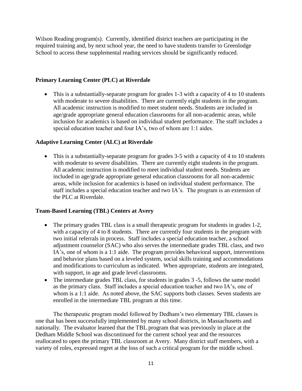Wilson Reading program(s). Currently, identified district teachers are participating in the required training and, by next school year, the need to have students transfer to Greenlodge School to access these supplemental reading services should be significantly reduced.

#### **Primary Learning Center (PLC) at Riverdale**

• This is a substantially-separate program for grades 1-3 with a capacity of 4 to 10 students with moderate to severe disabilities. There are currently eight students in the program. All academic instruction is modified to meet student needs. Students are included in age/grade appropriate general education classrooms for all non-academic areas, while inclusion for academics is based on individual student performance. The staff includes a special education teacher and four IA's, two of whom are 1:1 aides.

#### **Adaptive Learning Center (ALC) at Riverdale**

• This is a substantially-separate program for grades 3-5 with a capacity of 4 to 10 students with moderate to severe disabilities. There are currently eight students in the program. All academic instruction is modified to meet individual student needs. Students are included in age/grade appropriate general education classrooms for all non-academic areas, while inclusion for academics is based on individual student performance. The staff includes a special education teacher and two IA's. The program is an extension of the PLC at Riverdale.

#### **Team-Based Learning (TBL) Centers at Avery**

- The primary grades TBL class is a small therapeutic program for students in grades 1-2, with a capacity of 4 to 8 students. There are currently four students in the program with two initial referrals in process. Staff includes a special education teacher, a school adjustment counselor (SAC) who also serves the intermediate grades TBL class, and two IA's, one of whom is a 1:1 aide. The program provides behavioral support, interventions and behavior plans based on a leveled system, social skills training and accommodations and modifications to curriculum as indicated. When appropriate, students are integrated, with support, in age and grade level classrooms.
- The intermediate grades TBL class, for students in grades 3 -5, follows the same model as the primary class. Staff includes a special education teacher and two IA's, one of whom is a 1:1 aide. As noted above, the SAC supports both classes. Seven students are enrolled in the intermediate TBL program at this time.

The therapeutic program model followed by Dedham's two elementary TBL classes is one that has been successfully implemented by many school districts, in Massachusetts and nationally. The evaluator learned that the TBL program that was previously in place at the Dedham Middle School was discontinued for the current school year and the resources reallocated to open the primary TBL classroom at Avery. Many district staff members, with a variety of roles, expressed regret at the loss of such a critical program for the middle school.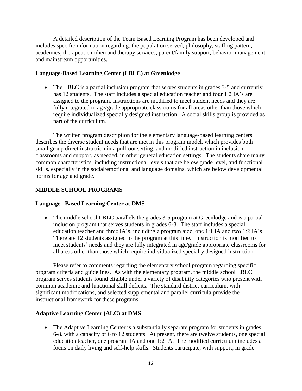A detailed description of the Team Based Learning Program has been developed and includes specific information regarding: the population served, philosophy, staffing pattern, academics, therapeutic milieu and therapy services, parent/family support, behavior management and mainstream opportunities.

#### **Language-Based Learning Center (LBLC) at Greenlodge**

• The LBLC is a partial inclusion program that serves students in grades 3-5 and currently has 12 students. The staff includes a special education teacher and four 1:2 IA's are assigned to the program. Instructions are modified to meet student needs and they are fully integrated in age/grade appropriate classrooms for all areas other than those which require individualized specially designed instruction. A social skills group is provided as part of the curriculum.

The written program description for the elementary language-based learning centers describes the diverse student needs that are met in this program model, which provides both small group direct instruction in a pull-out setting, and modified instruction in inclusion classrooms and support, as needed, in other general education settings. The students share many common characteristics, including instructional levels that are below grade level, and functional skills, especially in the social/emotional and language domains, which are below developmental norms for age and grade.

## **MIDDLE SCHOOL PROGRAMS**

#### **Language –Based Learning Center at DMS**

• The middle school LBLC parallels the grades 3-5 program at Greenlodge and is a partial inclusion program that serves students in grades 6-8. The staff includes a special education teacher and three IA's, including a program aide, one 1:1 IA and two 1:2 IA's. There are 12 students assigned to the program at this time. Instruction is modified to meet students' needs and they are fully integrated in age/grade appropriate classrooms for all areas other than those which require individualized specially designed instruction.

Please refer to comments regarding the elementary school program regarding specific program criteria and guidelines. As with the elementary program, the middle school LBLC program serves students found eligible under a variety of disability categories who present with common academic and functional skill deficits. The standard district curriculum, with significant modifications, and selected supplemental and parallel curricula provide the instructional framework for these programs.

#### **Adaptive Learning Center (ALC) at DMS**

• The Adaptive Learning Center is a substantially separate program for students in grades 6-8, with a capacity of 6 to 12 students. At present, there are twelve students, one special education teacher, one program IA and one 1:2 IA. The modified curriculum includes a focus on daily living and self-help skills. Students participate, with support, in grade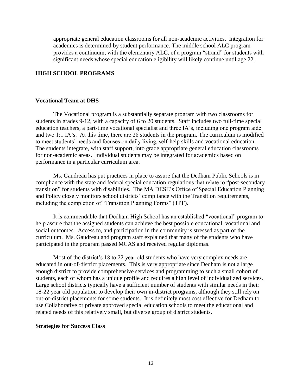appropriate general education classrooms for all non-academic activities. Integration for academics is determined by student performance. The middle school ALC program provides a continuum, with the elementary ALC, of a program "strand" for students with significant needs whose special education eligibility will likely continue until age 22.

#### **HIGH SCHOOL PROGRAMS**

#### **Vocational Team at DHS**

The Vocational program is a substantially separate program with two classrooms for students in grades 9-12, with a capacity of 6 to 20 students. Staff includes two full-time special education teachers, a part-time vocational specialist and three IA's, including one program aide and two 1:1 IA's. At this time, there are 28 students in the program. The curriculum is modified to meet students' needs and focuses on daily living, self-help skills and vocational education. The students integrate, with staff support, into grade appropriate general education classrooms for non-academic areas. Individual students may be integrated for academics based on performance in a particular curriculum area.

Ms. Gaudreau has put practices in place to assure that the Dedham Public Schools is in compliance with the state and federal special education regulations that relate to "post-secondary transition" for students with disabilities. The MA DESE's Office of Special Education Planning and Policy closely monitors school districts' compliance with the Transition requirements, including the completion of "Transition Planning Forms" (TPF).

It is commendable that Dedham High School has an established "vocational" program to help assure that the assigned students can achieve the best possible educational, vocational and social outcomes. Access to, and participation in the community is stressed as part of the curriculum. Ms. Gaudreau and program staff explained that many of the students who have participated in the program passed MCAS and received regular diplomas.

Most of the district's 18 to 22 year old students who have very complex needs are educated in out-of-district placements. This is very appropriate since Dedham is not a large enough district to provide comprehensive services and programming to such a small cohort of students, each of whom has a unique profile and requires a high level of individualized services. Large school districts typically have a sufficient number of students with similar needs in their 18-22 year old population to develop their own in-district programs, although they still rely on out-of-district placements for some students. It is definitely most cost effective for Dedham to use Collaborative or private approved special education schools to meet the educational and related needs of this relatively small, but diverse group of district students.

#### **Strategies for Success Class**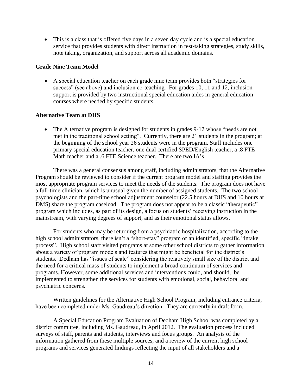This is a class that is offered five days in a seven day cycle and is a special education service that provides students with direct instruction in test-taking strategies, study skills, note taking, organization, and support across all academic domains.

#### **Grade Nine Team Model**

 A special education teacher on each grade nine team provides both "strategies for success" (see above) and inclusion co-teaching. For grades 10, 11 and 12, inclusion support is provided by two instructional special education aides in general education courses where needed by specific students.

#### **Alternative Team at DHS**

• The Alternative program is designed for students in grades 9-12 whose "needs are not met in the traditional school setting". Currently, there are 21 students in the program; at the beginning of the school year 26 students were in the program. Staff includes one primary special education teacher, one dual certified SPED/English teacher, a .8 FTE Math teacher and a .6 FTE Science teacher. There are two IA's.

There was a general consensus among staff, including administrators, that the Alternative Program should be reviewed to consider if the current program model and staffing provides the most appropriate program services to meet the needs of the students. The program does not have a full-time clinician, which is unusual given the number of assigned students. The two school psychologists and the part-time school adjustment counselor (22.5 hours at DHS and 10 hours at DMS) share the program caseload. The program does not appear to be a classic "therapeutic" program which includes, as part of its design, a focus on students' receiving instruction in the mainstream, with varying degrees of support, and as their emotional status allows.

For students who may be returning from a psychiatric hospitalization, according to the high school administrators, there isn't a "short-stay" program or an identified, specific "intake process". High school staff visited programs at some other school districts to gather information about a variety of program models and features that might be beneficial for the district's students. Dedham has "issues of scale" considering the relatively small size of the district and the need for a critical mass of students to implement a broad continuum of services and programs. However, some additional services and interventions could, and should, be implemented to strengthen the services for students with emotional, social, behavioral and psychiatric concerns.

Written guidelines for the Alternative High School Program, including entrance criteria, have been completed under Ms. Gaudreau's direction. They are currently in draft form.

A Special Education Program Evaluation of Dedham High School was completed by a district committee, including Ms. Gaudreau, in April 2012. The evaluation process included surveys of staff, parents and students, interviews and focus groups. An analysis of the information gathered from these multiple sources, and a review of the current high school programs and services generated findings reflecting the input of all stakeholders and a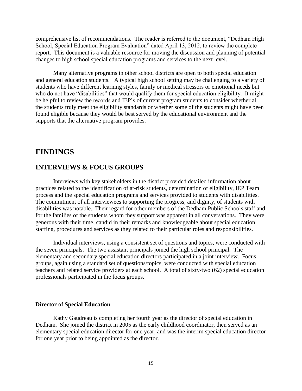comprehensive list of recommendations. The reader is referred to the document, "Dedham High School, Special Education Program Evaluation" dated April 13, 2012, to review the complete report. This document is a valuable resource for moving the discussion and planning of potential changes to high school special education programs and services to the next level.

Many alternative programs in other school districts are open to both special education and general education students. A typical high school setting may be challenging to a variety of students who have different learning styles, family or medical stressors or emotional needs but who do not have "disabilities" that would qualify them for special education eligibility. It might be helpful to review the records and IEP's of current program students to consider whether all the students truly meet the eligibility standards or whether some of the students might have been found eligible because they would be best served by the educational environment and the supports that the alternative program provides.

# **FINDINGS**

#### **INTERVIEWS & FOCUS GROUPS**

Interviews with key stakeholders in the district provided detailed information about practices related to the identification of at-risk students, determination of eligibility, IEP Team process and the special education programs and services provided to students with disabilities. The commitment of all interviewees to supporting the progress, and dignity, of students with disabilities was notable. Their regard for other members of the Dedham Public Schools staff and for the families of the students whom they support was apparent in all conversations. They were generous with their time, candid in their remarks and knowledgeable about special education staffing, procedures and services as they related to their particular roles and responsibilities.

Individual interviews, using a consistent set of questions and topics, were conducted with the seven principals. The two assistant principals joined the high school principal. The elementary and secondary special education directors participated in a joint interview. Focus groups, again using a standard set of questions/topics, were conducted with special education teachers and related service providers at each school. A total of sixty-two (62) special education professionals participated in the focus groups.

#### **Director of Special Education**

Kathy Gaudreau is completing her fourth year as the director of special education in Dedham. She joined the district in 2005 as the early childhood coordinator, then served as an elementary special education director for one year, and was the interim special education director for one year prior to being appointed as the director.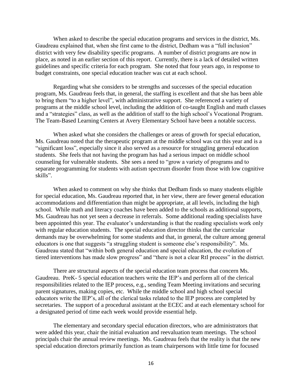When asked to describe the special education programs and services in the district, Ms. Gaudreau explained that, when she first came to the district, Dedham was a "full inclusion" district with very few disability specific programs. A number of district programs are now in place, as noted in an earlier section of this report. Currently, there is a lack of detailed written guidelines and specific criteria for each program. She noted that four years ago, in response to budget constraints, one special education teacher was cut at each school.

Regarding what she considers to be strengths and successes of the special education program, Ms. Gaudreau feels that, in general, the staffing is excellent and that she has been able to bring them "to a higher level", with administrative support. She referenced a variety of programs at the middle school level, including the addition of co-taught English and math classes and a "strategies" class, as well as the addition of staff to the high school's Vocational Program. The Team-Based Learning Centers at Avery Elementary School have been a notable success.

When asked what she considers the challenges or areas of growth for special education, Ms. Gaudreau noted that the therapeutic program at the middle school was cut this year and is a "significant loss", especially since it also served as a resource for struggling general education students. She feels that not having the program has had a serious impact on middle school counseling for vulnerable students. She sees a need to "grow a variety of programs and to separate programming for students with autism spectrum disorder from those with low cognitive skills".

When asked to comment on why she thinks that Dedham finds so many students eligible for special education, Ms. Gaudreau reported that, in her view, there are fewer general education accommodations and differentiation than might be appropriate, at all levels, including the high school. While math and literacy coaches have been added to the schools as additional supports, Ms. Gaudreau has not yet seen a decrease in referrals. Some additional reading specialists have been appointed this year. The evaluator's understanding is that the reading specialists work only with regular education students. The special education director thinks that the curricular demands may be overwhelming for some students and that, in general, the culture among general educators is one that suggests "a struggling student is someone else's responsibility". Ms. Gaudreau stated that "within both general education and special education, the evolution of tiered interventions has made slow progress" and "there is not a clear RtI process" in the district.

There are structural aspects of the special education team process that concern Ms. Gaudreau. PreK- 5 special education teachers write the IEP's and perform all of the clerical responsibilities related to the IEP process, e.g., sending Team Meeting invitations and securing parent signatures, making copies, etc. While the middle school and high school special educators write the IEP's, all of the clerical tasks related to the IEP process are completed by secretaries. The support of a procedural assistant at the ECEC and at each elementary school for a designated period of time each week would provide essential help.

The elementary and secondary special education directors, who are administrators that were added this year, chair the initial evaluation and reevaluation team meetings. The school principals chair the annual review meetings. Ms. Gaudreau feels that the reality is that the new special education directors primarily function as team chairpersons with little time for focused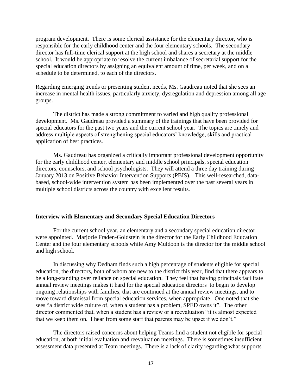program development. There is some clerical assistance for the elementary director, who is responsible for the early childhood center and the four elementary schools. The secondary director has full-time clerical support at the high school and shares a secretary at the middle school. It would be appropriate to resolve the current imbalance of secretarial support for the special education directors by assigning an equivalent amount of time, per week, and on a schedule to be determined, to each of the directors.

Regarding emerging trends or presenting student needs, Ms. Gaudreau noted that she sees an increase in mental health issues, particularly anxiety, dysregulation and depression among all age groups.

The district has made a strong commitment to varied and high quality professional development. Ms. Gaudreau provided a summary of the trainings that have been provided for special educators for the past two years and the current school year. The topics are timely and address multiple aspects of strengthening special educators' knowledge, skills and practical application of best practices.

Ms. Gaudreau has organized a critically important professional development opportunity for the early childhood center, elementary and middle school principals, special education directors, counselors, and school psychologists. They will attend a three day training during January 2013 on Positive Behavior Intervention Supports (PBIS). This well-researched, databased, school-wide intervention system has been implemented over the past several years in multiple school districts across the country with excellent results.

#### **Interview with Elementary and Secondary Special Education Directors**

For the current school year, an elementary and a secondary special education director were appointed. Marjorie Fraden-Goldstein is the director for the Early Childhood Education Center and the four elementary schools while Amy Muldoon is the director for the middle school and high school.

In discussing why Dedham finds such a high percentage of students eligible for special education, the directors, both of whom are new to the district this year, find that there appears to be a long-standing over reliance on special education. They feel that having principals facilitate annual review meetings makes it hard for the special education directors to begin to develop ongoing relationships with families, that are continued at the annual review meetings, and to move toward dismissal from special education services, when appropriate. One noted that she sees "a district wide culture of, when a student has a problem, SPED owns it". The other director commented that, when a student has a review or a reevaluation "it is almost expected that we keep them on. I hear from some staff that parents may be upset if we don't."

The directors raised concerns about helping Teams find a student not eligible for special education, at both initial evaluation and reevaluation meetings. There is sometimes insufficient assessment data presented at Team meetings. There is a lack of clarity regarding what supports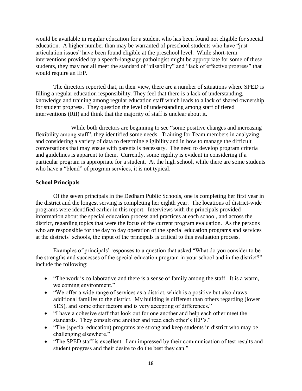would be available in regular education for a student who has been found not eligible for special education. A higher number than may be warranted of preschool students who have "just articulation issues" have been found eligible at the preschool level. While short-term interventions provided by a speech-language pathologist might be appropriate for some of these students, they may not all meet the standard of "disability" and "lack of effective progress" that would require an IEP.

The directors reported that, in their view, there are a number of situations where SPED is filling a regular education responsibility. They feel that there is a lack of understanding, knowledge and training among regular education staff which leads to a lack of shared ownership for student progress. They question the level of understanding among staff of tiered interventions (RtI) and think that the majority of staff is unclear about it.

While both directors are beginning to see "some positive changes and increasing flexibility among staff", they identified some needs. Training for Team members in analyzing and considering a variety of data to determine eligibility and in how to manage the difficult conversations that may ensue with parents is necessary. The need to develop program criteria and guidelines is apparent to them. Currently, some rigidity is evident in considering if a particular program is appropriate for a student. At the high school, while there are some students who have a "blend" of program services, it is not typical.

#### **School Principals**

Of the seven principals in the Dedham Public Schools, one is completing her first year in the district and the longest serving is completing her eighth year. The locations of district-wide programs were identified earlier in this report. Interviews with the principals provided information about the special education process and practices at each school, and across the district, regarding topics that were the focus of the current program evaluation. As the persons who are responsible for the day to day operation of the special education programs and services at the districts' schools, the input of the principals is critical to this evaluation process.

Examples of principals' responses to a question that asked "What do you consider to be the strengths and successes of the special education program in your school and in the district?" include the following:

- "The work is collaborative and there is a sense of family among the staff. It is a warm, welcoming environment."
- "We offer a wide range of services as a district, which is a positive but also draws additional families to the district. My building is different than others regarding (lower SES), and some other factors and is very accepting of differences."
- "I have a cohesive staff that look out for one another and help each other meet the standards. They consult one another and read each other's IEP's."
- "The (special education) programs are strong and keep students in district who may be challenging elsewhere."
- "The SPED staff is excellent. I am impressed by their communication of test results and student progress and their desire to do the best they can."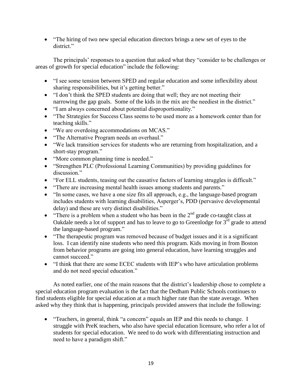• "The hiring of two new special education directors brings a new set of eyes to the district."

The principals' responses to a question that asked what they "consider to be challenges or areas of growth for special education" include the following:

- "I see some tension between SPED and regular education and some inflexibility about sharing responsibilities, but it's getting better."
- "I don't think the SPED students are doing that well; they are not meeting their narrowing the gap goals. Some of the kids in the mix are the neediest in the district."
- "I am always concerned about potential disproportionality."
- "The Strategies for Success Class seems to be used more as a homework center than for teaching skills."
- "We are overdoing accommodations on MCAS."
- "The Alternative Program needs an overhaul."
- "We lack transition services for students who are returning from hospitalization, and a short-stay program."
- "More common planning time is needed."
- "Strengthen PLC (Professional Learning Communities) by providing guidelines for discussion."
- "For ELL students, teasing out the causative factors of learning struggles is difficult."
- "There are increasing mental health issues among students and parents."
- "In some cases, we have a one size fits all approach, e.g., the language-based program includes students with learning disabilities, Asperger's, PDD (pervasive developmental delay) and these are very distinct disabilities."
- "There is a problem when a student who has been in the  $2<sup>nd</sup>$  grade co-taught class at Oakdale needs a lot of support and has to leave to go to Greenlodge for  $3<sup>rd</sup>$  grade to attend the language-based program."
- "The therapeutic program was removed because of budget issues and it is a significant loss. I can identify nine students who need this program. Kids moving in from Boston from behavior programs are going into general education, have learning struggles and cannot succeed."
- "I think that there are some ECEC students with IEP's who have articulation problems and do not need special education."

As noted earlier, one of the main reasons that the district's leadership chose to complete a special education program evaluation is the fact that the Dedham Public Schools continues to find students eligible for special education at a much higher rate than the state average. When asked why they think that is happening, principals provided answers that include the following:

• "Teachers, in general, think "a concern" equals an IEP and this needs to change. I struggle with PreK teachers, who also have special education licensure, who refer a lot of students for special education. We need to do work with differentiating instruction and need to have a paradigm shift."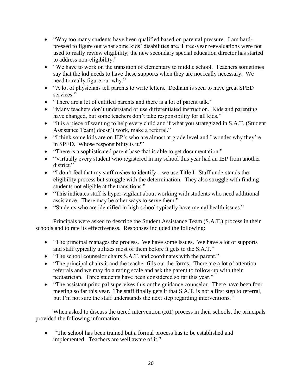- "Way too many students have been qualified based on parental pressure. I am hardpressed to figure out what some kids' disabilities are. Three-year reevaluations were not used to really review eligibility; the new secondary special education director has started to address non-eligibility."
- "We have to work on the transition of elementary to middle school. Teachers sometimes say that the kid needs to have these supports when they are not really necessary. We need to really figure out why."
- "A lot of physicians tell parents to write letters. Dedham is seen to have great SPED services."
- "There are a lot of entitled parents and there is a lot of parent talk."
- "Many teachers don't understand or use differentiated instruction. Kids and parenting have changed, but some teachers don't take responsibility for all kids."
- "It is a piece of wanting to help every child and if what you strategized in S.A.T. (Student Assistance Team) doesn't work, make a referral."
- "I think some kids are on IEP's who are almost at grade level and I wonder why they're in SPED. Whose responsibility is it?"
- "There is a sophisticated parent base that is able to get documentation."
- "Virtually every student who registered in my school this year had an IEP from another district."
- "I don't feel that my staff rushes to identify…we use Title I. Staff understands the eligibility process but struggle with the determination. They also struggle with finding students not eligible at the transitions."
- "This indicates staff is hyper-vigilant about working with students who need additional assistance. There may be other ways to serve them."
- "Students who are identified in high school typically have mental health issues."

Principals were asked to describe the Student Assistance Team (S.A.T.) process in their schools and to rate its effectiveness. Responses included the following:

- "The principal manages the process. We have some issues. We have a lot of supports and staff typically utilizes most of them before it gets to the S.A.T."
- "The school counselor chairs S.A.T. and coordinates with the parent."
- "The principal chairs it and the teacher fills out the forms. There are a lot of attention referrals and we may do a rating scale and ask the parent to follow-up with their pediatrician. Three students have been considered so far this year."
- "The assistant principal supervises this or the guidance counselor. There have been four meeting so far this year. The staff finally gets it that S.A.T. is not a first step to referral, but I'm not sure the staff understands the next step regarding interventions."

When asked to discuss the tiered intervention (RtI) process in their schools, the principals provided the following information:

 "The school has been trained but a formal process has to be established and implemented. Teachers are well aware of it."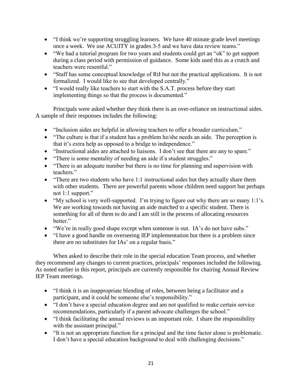- "I think we're supporting struggling learners. We have 40 minute grade level meetings once a week. We use ACUITY in grades 3-5 and we have data review teams."
- "We had a tutorial program for two years and students could get an "ok" to get support during a class period with permission of guidance. Some kids used this as a crutch and teachers were resentful."
- "Staff has some conceptual knowledge of RtI but not the practical applications. It is not formalized. I would like to see that developed centrally."
- "I would really like teachers to start with the S.A.T. process before they start implementing things so that the process is documented."

Principals were asked whether they think there is an over-reliance on instructional aides. A sample of their responses includes the following:

- "Inclusion aides are helpful in allowing teachers to offer a broader curriculum."
- "The culture is that if a student has a problem he/she needs an aide. The perception is that it's extra help as opposed to a bridge to independence."
- "Instructional aides are attached to liaisons. I don't see that there are any to spare."
- "There is some mentality of needing an aide if a student struggles."
- "There is an adequate number but there is no time for planning and supervision with teachers."
- "There are two students who have 1:1 instructional aides but they actually share them with other students. There are powerful parents whose children need support but perhaps not 1:1 support."
- $\bullet$  "My school is very well-supported. I'm trying to figure out why there are so many 1:1's. We are working towards not having an aide matched to a specific student. There is something for all of them to do and I am still in the process of allocating resources hetter."
- "We're in really good shape except when someone is out. IA's do not have subs."
- "I have a good handle on overseeing IEP implementation but there is a problem since there are no substitutes for IAs' on a regular basis."

When asked to describe their role in the special education Team process, and whether they recommend any changes to current practices, principals' responses included the following. As noted earlier in this report, principals are currently responsible for chairing Annual Review IEP Team meetings.

- "I think it is an inappropriate blending of roles, between being a facilitator and a participant, and it could be someone else's responsibility."
- "I don't have a special education degree and am not qualified to make certain service recommendations, particularly if a parent advocate challenges the school."
- "I think facilitating the annual reviews is an important role. I share the responsibility with the assistant principal."
- "It is not an appropriate function for a principal and the time factor alone is problematic. I don't have a special education background to deal with challenging decisions."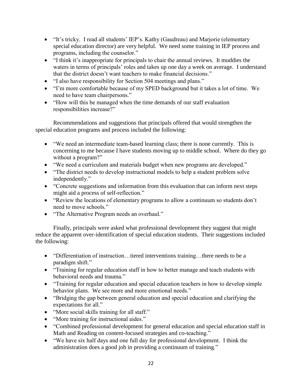- "It's tricky. I read all students' IEP's. Kathy (Gaudreau) and Marjorie (elementary special education director) are very helpful. We need some training in IEP process and programs, including the counselor."
- "I think it's inappropriate for principals to chair the annual reviews. It muddies the waters in terms of principals' roles and takes up one day a week on average. I understand that the district doesn't want teachers to make financial decisions."
- "I also have responsibility for Section 504 meetings and plans."
- "I'm more comfortable because of my SPED background but it takes a lot of time. We need to have team chairpersons."
- "How will this be managed when the time demands of our staff evaluation responsibilities increase?"

Recommendations and suggestions that principals offered that would strengthen the special education programs and process included the following:

- "We need an intermediate team-based learning class; there is none currently. This is concerning to me because I have students moving up to middle school. Where do they go without a program?"
- "We need a curriculum and materials budget when new programs are developed."
- "The district needs to develop instructional models to help a student problem solve independently."
- "Concrete suggestions and information from this evaluation that can inform next steps might aid a process of self-reflection."
- "Review the locations of elementary programs to allow a continuum so students don't need to move schools."
- "The Alternative Program needs an overhaul."

Finally, principals were asked what professional development they suggest that might reduce the apparent over-identification of special education students. Their suggestions included the following:

- "Differentiation of instruction...tiered interventions training...there needs to be a paradigm shift."
- "Training for regular education staff in how to better manage and teach students with behavioral needs and trauma."
- "Training for regular education and special education teachers in how to develop simple behavior plans. We see more and more emotional needs."
- "Bridging the gap between general education and special education and clarifying the expectations for all."
- "More social skills training for all staff."
- "More training for instructional aides."
- "Combined professional development for general education and special education staff in Math and Reading on content-focused strategies and co-teaching."
- "We have six half days and one full day for professional development. I think the administration does a good job in providing a continuum of training."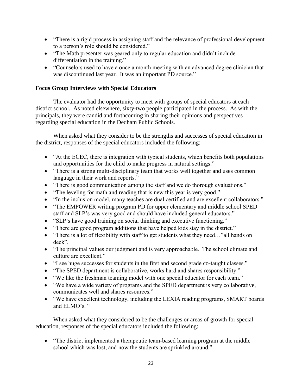- "There is a rigid process in assigning staff and the relevance of professional development to a person's role should be considered."
- "The Math presenter was geared only to regular education and didn't include differentiation in the training."
- "Counselors used to have a once a month meeting with an advanced degree clinician that was discontinued last year. It was an important PD source."

## **Focus Group Interviews with Special Educators**

The evaluator had the opportunity to meet with groups of special educators at each district school. As noted elsewhere, sixty-two people participated in the process. As with the principals, they were candid and forthcoming in sharing their opinions and perspectives regarding special education in the Dedham Public Schools.

When asked what they consider to be the strengths and successes of special education in the district, responses of the special educators included the following:

- "At the ECEC, there is integration with typical students, which benefits both populations and opportunities for the child to make progress in natural settings."
- "There is a strong multi-disciplinary team that works well together and uses common language in their work and reports."
- "There is good communication among the staff and we do thorough evaluations."
- "The leveling for math and reading that is new this year is very good."
- "In the inclusion model, many teaches are dual certified and are excellent collaborators."
- "The EMPOWER writing program PD for upper elementary and middle school SPED staff and SLP's was very good and should have included general educators."
- "SLP's have good training on social thinking and executive functioning."
- "There are good program additions that have helped kids stay in the district."
- "There is a lot of flexibility with staff to get students what they need..."all hands on deck".
- "The principal values our judgment and is very approachable. The school climate and culture are excellent."
- "I see huge successes for students in the first and second grade co-taught classes."
- "The SPED department is collaborative, works hard and shares responsibility."
- "We like the freshman teaming model with one special educator for each team."
- "We have a wide variety of programs and the SPED department is very collaborative, communicates well and shares resources."
- "We have excellent technology, including the LEXIA reading programs, SMART boards and ELMO's. "

When asked what they considered to be the challenges or areas of growth for special education, responses of the special educators included the following:

• "The district implemented a therapeutic team-based learning program at the middle school which was lost, and now the students are sprinkled around."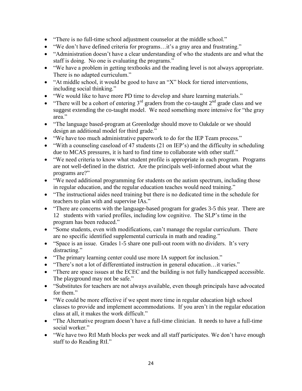- "There is no full-time school adjustment counselor at the middle school."
- "We don't have defined criteria for programs…it's a gray area and frustrating."
- "Administration doesn't have a clear understanding of who the students are and what the staff is doing. No one is evaluating the programs."
- "We have a problem in getting textbooks and the reading level is not always appropriate. There is no adapted curriculum."
- "At middle school, it would be good to have an "X" block for tiered interventions, including social thinking."
- "We would like to have more PD time to develop and share learning materials."
- "There will be a cohort of entering  $3<sup>rd</sup>$  graders from the co-taught  $2<sup>nd</sup>$  grade class and we suggest extending the co-taught model. We need something more intensive for "the gray area."
- "The language based-program at Greenlodge should move to Oakdale or we should design an additional model for third grade."
- "We have too much administrative paperwork to do for the IEP Team process."
- "With a counseling caseload of 47 students (21 on IEP's) and the difficulty in scheduling due to MCAS pressures, it is hard to find time to collaborate with other staff."
- "We need criteria to know what student profile is appropriate in each program. Programs are not well-defined in the district. Are the principals well-informed about what the programs are?"
- "We need additional programming for students on the autism spectrum, including those in regular education, and the regular education teaches would need training."
- "The instructional aides need training but there is no dedicated time in the schedule for teachers to plan with and supervise IAs."
- "There are concerns with the language-based program for grades 3-5 this year. There are 12 students with varied profiles, including low cognitive. The SLP's time in the program has been reduced."
- "Some students, even with modifications, can't manage the regular curriculum. There are no specific identified supplemental curricula in math and reading."
- "Space is an issue. Grades 1-5 share one pull-out room with no dividers. It's very distracting."
- "The primary learning center could use more IA support for inclusion."
- "There's not a lot of differentiated instruction in general education... it varies."
- "There are space issues at the ECEC and the building is not fully handicapped accessible. The playground may not be safe."
- "Substitutes for teachers are not always available, even though principals have advocated for them."
- "We could be more effective if we spent more time in regular education high school classes to provide and implement accommodations. If you aren't in the regular education class at all, it makes the work difficult."
- "The Alternative program doesn't have a full-time clinician. It needs to have a full-time social worker."
- "We have two RtI Math blocks per week and all staff participates. We don't have enough staff to do Reading RtI."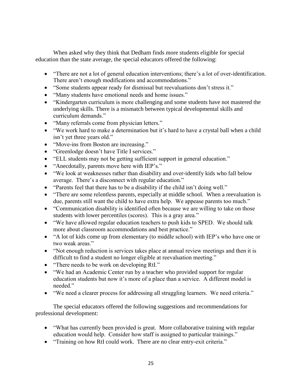When asked why they think that Dedham finds more students eligible for special education than the state average, the special educators offered the following:

- "There are not a lot of general education interventions; there's a lot of over-identification. There aren't enough modifications and accommodations."
- "Some students appear ready for dismissal but reevaluations don't stress it."
- "Many students have emotional needs and home issues."
- "Kindergarten curriculum is more challenging and some students have not mastered the underlying skills. There is a mismatch between typical developmental skills and curriculum demands."
- "Many referrals come from physician letters."
- "We work hard to make a determination but it's hard to have a crystal ball when a child isn't yet three years old."
- "Move-ins from Boston are increasing."
- "Greenlodge doesn't have Title I services."
- "ELL students may not be getting sufficient support in general education."
- "Anecdotally, parents move here with IEP's."
- "We look at weaknesses rather than disability and over-identify kids who fall below average. There's a disconnect with regular education."
- "Parents feel that there has to be a disability if the child isn't doing well."
- "There are some relentless parents, especially at middle school. When a reevaluation is due, parents still want the child to have extra help. We appease parents too much."
- "Communication disability is identified often because we are willing to take on those students with lower percentiles (scores). This is a gray area."
- "We have allowed regular education teachers to push kids to SPED. We should talk more about classroom accommodations and best practice."
- "A lot of kids come up from elementary (to middle school) with IEP's who have one or two weak areas."
- "Not enough reduction is services takes place at annual review meetings and then it is difficult to find a student no longer eligible at reevaluation meeting."
- "There needs to be work on developing RtI."
- "We had an Academic Center run by a teacher who provided support for regular education students but now it's more of a place than a service. A different model is needed."
- "We need a clearer process for addressing all struggling learners. We need criteria."

The special educators offered the following suggestions and recommendations for professional development:

- "What has currently been provided is great. More collaborative training with regular education would help. Consider how staff is assigned to particular trainings."
- "Training on how RtI could work. There are no clear entry-exit criteria."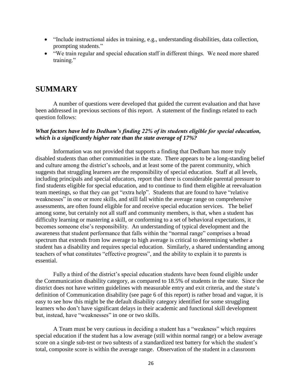- "Include instructional aides in training, e.g., understanding disabilities, data collection, prompting students."
- "We train regular and special education staff in different things. We need more shared training."

# **SUMMARY**

A number of questions were developed that guided the current evaluation and that have been addressed in previous sections of this report. A statement of the findings related to each question follows:

#### *What factors have led to Dedham's finding 22% of its students eligible for special education, which is a significantly higher rate than the state average of 17%?*

Information was not provided that supports a finding that Dedham has more truly disabled students than other communities in the state. There appears to be a long-standing belief and culture among the district's schools, and at least some of the parent community, which suggests that struggling learners are the responsibility of special education. Staff at all levels, including principals and special educators, report that there is considerable parental pressure to find students eligible for special education, and to continue to find them eligible at reevaluation team meetings, so that they can get "extra help". Students that are found to have "relative weaknesses" in one or more skills, and still fall within the average range on comprehensive assessments, are often found eligible for and receive special education services. The belief among some, but certainly not all staff and community members, is that, when a student has difficulty learning or mastering a skill, or conforming to a set of behavioral expectations, it becomes someone else's responsibility. An understanding of typical development and the awareness that student performance that falls within the "normal range" comprises a broad spectrum that extends from low average to high average is critical to determining whether a student has a disability and requires special education. Similarly, a shared understanding among teachers of what constitutes "effective progress", and the ability to explain it to parents is essential.

Fully a third of the district's special education students have been found eligible under the Communication disability category, as compared to 18.5% of students in the state. Since the district does not have written guidelines with measurable entry and exit criteria, and the state's definition of Communication disability (see page 6 of this report) is rather broad and vague, it is easy to see how this might be the default disability category identified for some struggling learners who don't have significant delays in their academic and functional skill development but, instead, have "weaknesses" in one or two skills.

A Team must be very cautious in deciding a student has a "weakness" which requires special education if the student has a low average (still within normal range) or a below average score on a single sub-test or two subtests of a standardized test battery for which the student's total, composite score is within the average range. Observation of the student in a classroom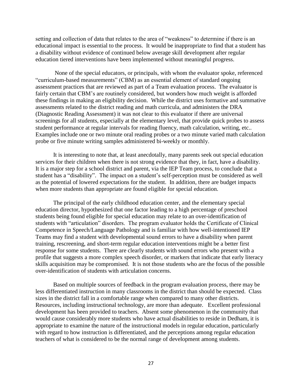setting and collection of data that relates to the area of "weakness" to determine if there is an educational impact is essential to the process. It would be inappropriate to find that a student has a disability without evidence of continued below average skill development after regular education tiered interventions have been implemented without meaningful progress.

None of the special educators, or principals, with whom the evaluator spoke, referenced "curriculum-based measurements" (CBM) as an essential element of standard ongoing assessment practices that are reviewed as part of a Team evaluation process. The evaluator is fairly certain that CBM's are routinely considered, but wonders how much weight is afforded these findings in making an eligibility decision. While the district uses formative and summative assessments related to the district reading and math curricula, and administers the DRA (Diagnostic Reading Assessment) it was not clear to this evaluator if there are universal screenings for all students, especially at the elementary level, that provide quick probes to assess student performance at regular intervals for reading fluency, math calculation, writing, etc.. Examples include one or two minute oral reading probes or a two minute varied math calculation probe or five minute writing samples administered bi-weekly or monthly.

It is interesting to note that, at least anecdotally, many parents seek out special education services for their children when there is not strong evidence that they, in fact, have a disability. It is a major step for a school district and parent, via the IEP Team process, to conclude that a student has a "disability". The impact on a student's self-perception must be considered as well as the potential of lowered expectations for the student. In addition, there are budget impacts when more students than appropriate are found eligible for special education.

The principal of the early childhood education center, and the elementary special education director, hypothesized that one factor leading to a high percentage of preschool students being found eligible for special education may relate to an over-identification of students with "articulation" disorders. The program evaluator holds the Certificate of Clinical Competence in Speech/Language Pathology and is familiar with how well-intentioned IEP Teams may find a student with developmental sound errors to have a disability when parent training, rescreening, and short-term regular education interventions might be a better first response for some students. There are clearly students with sound errors who present with a profile that suggests a more complex speech disorder, or markers that indicate that early literacy skills acquisition may be compromised. It is not those students who are the focus of the possible over-identification of students with articulation concerns.

Based on multiple sources of feedback in the program evaluation process, there may be less differentiated instruction in many classrooms in the district than should be expected. Class sizes in the district fall in a comfortable range when compared to many other districts. Resources, including instructional technology, are more than adequate. Excellent professional development has been provided to teachers. Absent some phenomenon in the community that would cause considerably more students who have actual disabilities to reside in Dedham, it is appropriate to examine the nature of the instructional models in regular education, particularly with regard to how instruction is differentiated, and the perceptions among regular education teachers of what is considered to be the normal range of development among students.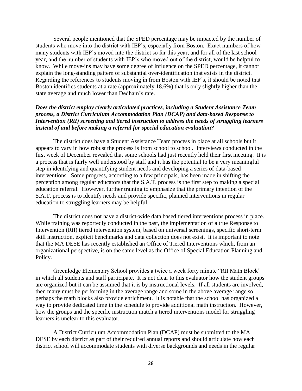Several people mentioned that the SPED percentage may be impacted by the number of students who move into the district with IEP's, especially from Boston. Exact numbers of how many students with IEP's moved into the district so far this year, and for all of the last school year, and the number of students with IEP's who moved out of the district, would be helpful to know. While move-ins may have some degree of influence on the SPED percentage, it cannot explain the long-standing pattern of substantial over-identification that exists in the district. Regarding the references to students moving in from Boston with IEP's, it should be noted that Boston identifies students at a rate (approximately 18.6%) that is only slightly higher than the state average and much lower than Dedham's rate.

#### *Does the district employ clearly articulated practices, including a Student Assistance Team process, a District Curriculum Accommodation Plan (DCAP) and data-based Response to Intervention (RtI) screening and tiered instruction to address the needs of struggling learners instead of and before making a referral for special education evaluation?*

The district does have a Student Assistance Team process in place at all schools but it appears to vary in how robust the process is from school to school. Interviews conducted in the first week of December revealed that some schools had just recently held their first meeting. It is a process that is fairly well understood by staff and it has the potential to be a very meaningful step in identifying and quantifying student needs and developing a series of data-based interventions. Some progress, according to a few principals, has been made in shifting the perception among regular educators that the S.A.T. process is the first step to making a special education referral. However, further training to emphasize that the primary intention of the S.A.T. process is to identify needs and provide specific, planned interventions in regular education to struggling learners may be helpful.

The district does not have a district-wide data based tiered interventions process in place. While training was reportedly conducted in the past, the implementation of a true Response to Intervention (RtI) tiered intervention system, based on universal screenings, specific short-term skill instruction, explicit benchmarks and data collection does not exist. It is important to note that the MA DESE has recently established an Office of Tiered Interventions which, from an organizational perspective, is on the same level as the Office of Special Education Planning and Policy.

Greenlodge Elementary School provides a twice a week forty minute "RtI Math Block" in which all students and staff participate. It is not clear to this evaluator how the student groups are organized but it can be assumed that it is by instructional levels. If all students are involved, then many must be performing in the average range and some in the above average range so perhaps the math blocks also provide enrichment. It is notable that the school has organized a way to provide dedicated time in the schedule to provide additional math instruction. However, how the groups and the specific instruction match a tiered interventions model for struggling learners is unclear to this evaluator.

A District Curriculum Accommodation Plan (DCAP) must be submitted to the MA DESE by each district as part of their required annual reports and should articulate how each district school will accommodate students with diverse backgrounds and needs in the regular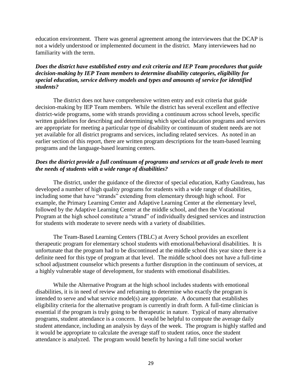education environment. There was general agreement among the interviewees that the DCAP is not a widely understood or implemented document in the district. Many interviewees had no familiarity with the term.

#### *Does the district have established entry and exit criteria and IEP Team procedures that guide decision-making by IEP Team members to determine disability categories, eligibility for special education, service delivery models and types and amounts of service for identified students?*

The district does not have comprehensive written entry and exit criteria that guide decision-making by IEP Team members. While the district has several excellent and effective district-wide programs, some with strands providing a continuum across school levels, specific written guidelines for describing and determining which special education programs and services are appropriate for meeting a particular type of disability or continuum of student needs are not yet available for all district programs and services, including related services. As noted in an earlier section of this report, there are written program descriptions for the team-based learning programs and the language-based learning centers.

#### *Does the district provide a full continuum of programs and services at all grade levels to meet the needs of students with a wide range of disabilities?*

The district, under the guidance of the director of special education, Kathy Gaudreau, has developed a number of high quality programs for students with a wide range of disabilities, including some that have "strands" extending from elementary through high school. For example, the Primary Learning Center and Adaptive Learning Center at the elementary level, followed by the Adaptive Learning Center at the middle school, and then the Vocational Program at the high school constitute a "strand" of individually designed services and instruction for students with moderate to severe needs with a variety of disabilities.

The Team-Based Learning Centers (TBLC) at Avery School provides an excellent therapeutic program for elementary school students with emotional/behavioral disabilities. It is unfortunate that the program had to be discontinued at the middle school this year since there is a definite need for this type of program at that level. The middle school does not have a full-time school adjustment counselor which presents a further disruption in the continuum of services, at a highly vulnerable stage of development, for students with emotional disabilities.

While the Alternative Program at the high school includes students with emotional disabilities, it is in need of review and reframing to determine who exactly the program is intended to serve and what service model(s) are appropriate. A document that establishes eligibility criteria for the alternative program is currently in draft form. A full-time clinician is essential if the program is truly going to be therapeutic in nature. Typical of many alternative programs, student attendance is a concern. It would be helpful to compute the average daily student attendance, including an analysis by days of the week. The program is highly staffed and it would be appropriate to calculate the average staff to student ratios, once the student attendance is analyzed. The program would benefit by having a full time social worker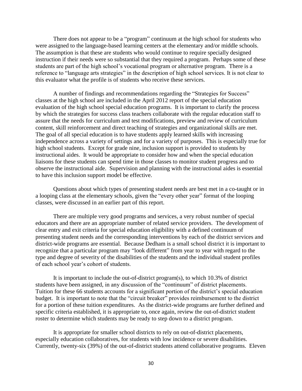There does not appear to be a "program" continuum at the high school for students who were assigned to the language-based learning centers at the elementary and/or middle schools. The assumption is that these are students who would continue to require specially designed instruction if their needs were so substantial that they required a program. Perhaps some of these students are part of the high school's vocational program or alternative program. There is a reference to "language arts strategies" in the description of high school services. It is not clear to this evaluator what the profile is of students who receive these services.

A number of findings and recommendations regarding the "Strategies for Success" classes at the high school are included in the April 2012 report of the special education evaluation of the high school special education programs. It is important to clarify the process by which the strategies for success class teachers collaborate with the regular education staff to assure that the needs for curriculum and test modifications, preview and review of curriculum content, skill reinforcement and direct teaching of strategies and organizational skills are met. The goal of all special education is to have students apply learned skills with increasing independence across a variety of settings and for a variety of purposes. This is especially true for high school students. Except for grade nine, inclusion support is provided to students by instructional aides. It would be appropriate to consider how and when the special education liaisons for these students can spend time in those classes to monitor student progress and to observe the instructional aide. Supervision and planning with the instructional aides is essential to have this inclusion support model be effective.

Questions about which types of presenting student needs are best met in a co-taught or in a looping class at the elementary schools, given the "every other year" format of the looping classes, were discussed in an earlier part of this report.

There are multiple very good programs and services, a very robust number of special educators and there are an appropriate number of related service providers. The development of clear entry and exit criteria for special education eligibility with a defined continuum of presenting student needs and the corresponding interventions by each of the district services and district-wide programs are essential. Because Dedham is a small school district it is important to recognize that a particular program may "look different" from year to year with regard to the type and degree of severity of the disabilities of the students and the individual student profiles of each school year's cohort of students.

It is important to include the out-of-district program(s), to which 10.3% of district students have been assigned, in any discussion of the "continuum" of district placements. Tuition for these 66 students accounts for a significant portion of the district's special education budget. It is important to note that the "circuit breaker" provides reimbursement to the district for a portion of these tuition expenditures. As the district-wide programs are further defined and specific criteria established, it is appropriate to, once again, review the out-of-district student roster to determine which students may be ready to step down to a district program.

It is appropriate for smaller school districts to rely on out-of-district placements, especially education collaboratives, for students with low incidence or severe disabilities. Currently, twenty-six (39%) of the out-of-district students attend collaborative programs. Eleven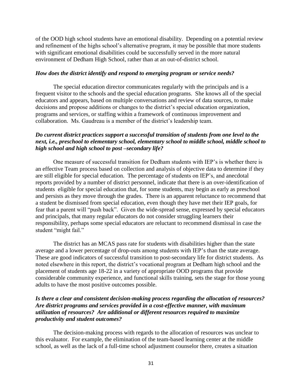of the OOD high school students have an emotional disability. Depending on a potential review and refinement of the highs school's alternative program, it may be possible that more students with significant emotional disabilities could be successfully served in the more natural environment of Dedham High School, rather than at an out-of-district school.

#### *How does the district identify and respond to emerging program or service needs?*

The special education director communicates regularly with the principals and is a frequent visitor to the schools and the special education programs. She knows all of the special educators and appears, based on multiple conversations and review of data sources, to make decisions and propose additions or changes to the district's special education organization, programs and services, or staffing within a framework of continuous improvement and collaboration. Ms. Gaudreau is a member of the district's leadership team.

#### *Do current district practices support a successful transition of students from one level to the next, i.e., preschool to elementary school, elementary school to middle school, middle school to high school and high school to post –secondary life?*

One measure of successful transition for Dedham students with IEP's is whether there is an effective Team process based on collection and analysis of objective data to determine if they are still eligible for special education. The percentage of students on IEP's, and anecdotal reports provided by a number of district personnel, indicate that there is an over-identification of students eligible for special education that, for some students, may begin as early as preschool and persists as they move through the grades. There is an apparent reluctance to recommend that a student be dismissed from special education, even though they have met their IEP goals, for fear that a parent will "push back". Given the wide-spread sense, expressed by special educators and principals, that many regular educators do not consider struggling learners their responsibility, perhaps some special educators are reluctant to recommend dismissal in case the student "might fail."

The district has an MCAS pass rate for students with disabilities higher than the state average and a lower percentage of drop-outs among students with IEP's than the state average. These are good indicators of successful transition to post-secondary life for district students. As noted elsewhere in this report, the district's vocational program at Dedham high school and the placement of students age 18-22 in a variety of appropriate OOD programs that provide considerable community experience, and functional skills training, sets the stage for those young adults to have the most positive outcomes possible.

#### *Is there a clear and consistent decision-making process regarding the allocation of resources? Are district programs and services provided in a cost-effective manner, with maximum utilization of resources? Are additional or different resources required to maximize productivity and student outcomes?*

The decision-making process with regards to the allocation of resources was unclear to this evaluator. For example, the elimination of the team-based learning center at the middle school, as well as the lack of a full-time school adjustment counselor there, creates a situation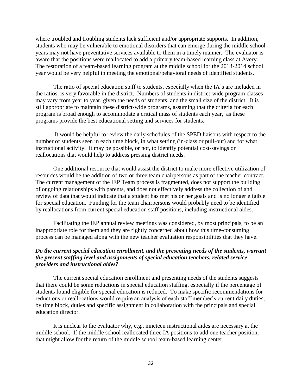where troubled and troubling students lack sufficient and/or appropriate supports. In addition, students who may be vulnerable to emotional disorders that can emerge during the middle school years may not have preventative services available to them in a timely manner. The evaluator is aware that the positions were reallocated to add a primary team-based learning class at Avery. The restoration of a team-based learning program at the middle school for the 2013-2014 school year would be very helpful in meeting the emotional/behavioral needs of identified students.

The ratio of special education staff to students, especially when the IA's are included in the ratios, is very favorable in the district. Numbers of students in district-wide program classes may vary from year to year, given the needs of students, and the small size of the district. It is still appropriate to maintain these district-wide programs, assuming that the criteria for each program is broad enough to accommodate a critical mass of students each year, as these programs provide the best educational setting and services for students.

It would be helpful to review the daily schedules of the SPED liaisons with respect to the number of students seen in each time block, in what setting (in-class or pull-out) and for what instructional activity. It may be possible, or not, to identify potential cost-savings or reallocations that would help to address pressing district needs.

One additional resource that would assist the district to make more effective utilization of resources would be the addition of two or three team chairpersons as part of the teacher contract. The current management of the IEP Team process is fragmented, does not support the building of ongoing relationships with parents, and does not effectively address the collection of and review of data that would indicate that a student has met his or her goals and is no longer eligible for special education. Funding for the team chairpersons would probably need to be identified by reallocations from current special education staff positions, including instructional aides.

Facilitating the IEP annual review meetings was considered, by most principals, to be an inappropriate role for them and they are rightly concerned about how this time-consuming process can be managed along with the new teacher evaluation responsibilities that they have.

#### *Do the current special education enrollment, and the presenting needs of the students, warrant the present staffing level and assignments of special education teachers, related service providers and instructional aides?*

The current special education enrollment and presenting needs of the students suggests that there could be some reductions in special education staffing, especially if the percentage of students found eligible for special education is reduced. To make specific recommendations for reductions or reallocations would require an analysis of each staff member's current daily duties, by time block, duties and specific assignment in collaboration with the principals and special education director.

It is unclear to the evaluator why, e.g., nineteen instructional aides are necessary at the middle school. If the middle school reallocated three IA positions to add one teacher position, that might allow for the return of the middle school team-based learning center.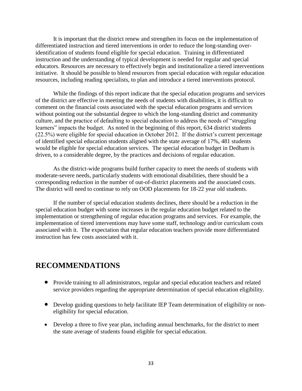It is important that the district renew and strengthen its focus on the implementation of differentiated instruction and tiered interventions in order to reduce the long-standing overidentification of students found eligible for special education. Training in differentiated instruction and the understanding of typical development is needed for regular and special educators. Resources are necessary to effectively begin and institutionalize a tiered interventions initiative. It should be possible to blend resources from special education with regular education resources, including reading specialists, to plan and introduce a tiered interventions protocol.

While the findings of this report indicate that the special education programs and services of the district are effective in meeting the needs of students with disabilities, it is difficult to comment on the financial costs associated with the special education programs and services without pointing out the substantial degree to which the long-standing district and community culture, and the practice of defaulting to special education to address the needs of "struggling learners" impacts the budget. As noted in the beginning of this report, 634 district students (22.5%) were eligible for special education in October 2012. If the district's current percentage of identified special education students aligned with the state average of 17%, 481 students would be eligible for special education services. The special education budget in Dedham is driven, to a considerable degree, by the practices and decisions of regular education.

As the district-wide programs build further capacity to meet the needs of students with moderate-severe needs, particularly students with emotional disabilities, there should be a corresponding reduction in the number of out-of-district placements and the associated costs. The district will need to continue to rely on OOD placements for 18-22 year old students.

If the number of special education students declines, there should be a reduction in the special education budget with some increases in the regular education budget related to the implementation or strengthening of regular education programs and services. For example, the implementation of tiered interventions may have some staff, technology and/or curriculum costs associated with it. The expectation that regular education teachers provide more differentiated instruction has few costs associated with it.

# **RECOMMENDATIONS**

- Provide training to all administrators, regular and special education teachers and related service providers regarding the appropriate determination of special education eligibility.
- Develop guiding questions to help facilitate IEP Team determination of eligibility or noneligibility for special education.
- Develop a three to five year plan, including annual benchmarks, for the district to meet the state average of students found eligible for special education.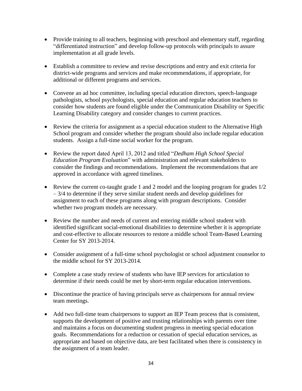- Provide training to all teachers, beginning with preschool and elementary staff, regarding "differentiated instruction" and develop follow-up protocols with principals to assure implementation at all grade levels.
- Establish a committee to review and revise descriptions and entry and exit criteria for district-wide programs and services and make recommendations, if appropriate, for additional or different programs and services.
- Convene an ad hoc committee, including special education directors, speech-language pathologists, school psychologists, special education and regular education teachers to consider how students are found eligible under the Communication Disability or Specific Learning Disability category and consider changes to current practices.
- Review the criteria for assignment as a special education student to the Alternative High School program and consider whether the program should also include regular education students. Assign a full-time social worker for the program.
- Review the report dated April 13, 2012 and titled "*Dedham High School Special Education Program Evaluation*" with administration and relevant stakeholders to consider the findings and recommendations. Implement the recommendations that are approved in accordance with agreed timelines.
- Review the current co-taught grade 1 and 2 model and the looping program for grades  $1/2$ – 3/4 to determine if they serve similar student needs and develop guidelines for assignment to each of these programs along with program descriptions. Consider whether two program models are necessary.
- Review the number and needs of current and entering middle school student with identified significant social-emotional disabilities to determine whether it is appropriate and cost-effective to allocate resources to restore a middle school Team-Based Learning Center for SY 2013-2014.
- Consider assignment of a full-time school psychologist or school adjustment counselor to the middle school for SY 2013-2014.
- Complete a case study review of students who have IEP services for articulation to determine if their needs could be met by short-term regular education interventions.
- Discontinue the practice of having principals serve as chairpersons for annual review team meetings.
- Add two full-time team chairpersons to support an IEP Team process that is consistent, supports the development of positive and trusting relationships with parents over time and maintains a focus on documenting student progress in meeting special education goals. Recommendations for a reduction or cessation of special education services, as appropriate and based on objective data, are best facilitated when there is consistency in the assignment of a team leader.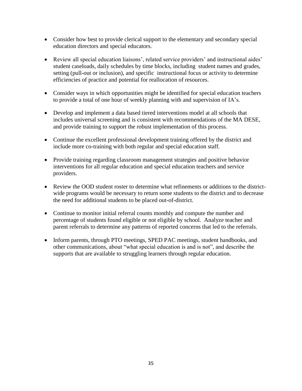- Consider how best to provide clerical support to the elementary and secondary special education directors and special educators.
- Review all special education liaisons', related service providers' and instructional aides' student caseloads, daily schedules by time blocks, including student names and grades, setting (pull-out or inclusion), and specific instructional focus or activity to determine efficiencies of practice and potential for reallocation of resources.
- Consider ways in which opportunities might be identified for special education teachers to provide a total of one hour of weekly planning with and supervision of IA's.
- Develop and implement a data based tiered interventions model at all schools that includes universal screening and is consistent with recommendations of the MA DESE, and provide training to support the robust implementation of this process.
- Continue the excellent professional development training offered by the district and include more co-training with both regular and special education staff.
- Provide training regarding classroom management strategies and positive behavior interventions for all regular education and special education teachers and service providers.
- Review the OOD student roster to determine what refinements or additions to the districtwide programs would be necessary to return some students to the district and to decrease the need for additional students to be placed out-of-district.
- Continue to monitor initial referral counts monthly and compute the number and percentage of students found eligible or not eligible by school. Analyze teacher and parent referrals to determine any patterns of reported concerns that led to the referrals.
- Inform parents, through PTO meetings, SPED PAC meetings, student handbooks, and other communications, about "what special education is and is not", and describe the supports that are available to struggling learners through regular education.